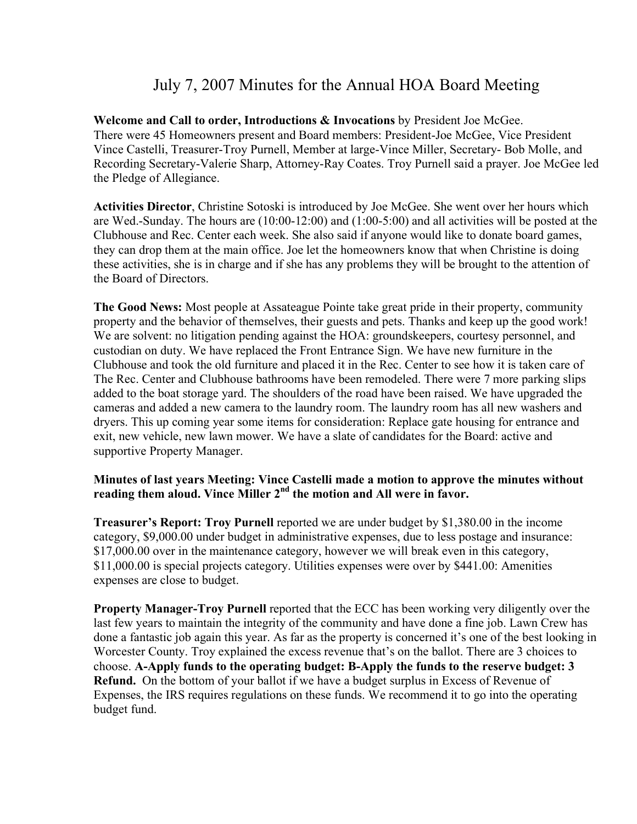# July 7, 2007 Minutes for the Annual HOA Board Meeting

**Welcome and Call to order, Introductions & Invocations** by President Joe McGee. There were 45 Homeowners present and Board members: President-Joe McGee, Vice President Vince Castelli, Treasurer-Troy Purnell, Member at large-Vince Miller, Secretary- Bob Molle, and Recording Secretary-Valerie Sharp, Attorney-Ray Coates. Troy Purnell said a prayer. Joe McGee led the Pledge of Allegiance.

**Activities Director**, Christine Sotoski is introduced by Joe McGee. She went over her hours which are Wed.-Sunday. The hours are (10:00-12:00) and (1:00-5:00) and all activities will be posted at the Clubhouse and Rec. Center each week. She also said if anyone would like to donate board games, they can drop them at the main office. Joe let the homeowners know that when Christine is doing these activities, she is in charge and if she has any problems they will be brought to the attention of the Board of Directors.

**The Good News:** Most people at Assateague Pointe take great pride in their property, community property and the behavior of themselves, their guests and pets. Thanks and keep up the good work! We are solvent: no litigation pending against the HOA: groundskeepers, courtesy personnel, and custodian on duty. We have replaced the Front Entrance Sign. We have new furniture in the Clubhouse and took the old furniture and placed it in the Rec. Center to see how it is taken care of The Rec. Center and Clubhouse bathrooms have been remodeled. There were 7 more parking slips added to the boat storage yard. The shoulders of the road have been raised. We have upgraded the cameras and added a new camera to the laundry room. The laundry room has all new washers and dryers. This up coming year some items for consideration: Replace gate housing for entrance and exit, new vehicle, new lawn mower. We have a slate of candidates for the Board: active and supportive Property Manager.

# **Minutes of last years Meeting: Vince Castelli made a motion to approve the minutes without**  reading them aloud. Vince Miller 2<sup>nd</sup> the motion and All were in favor.

**Treasurer's Report: Troy Purnell** reported we are under budget by \$1,380.00 in the income category, \$9,000.00 under budget in administrative expenses, due to less postage and insurance: \$17,000.00 over in the maintenance category, however we will break even in this category, \$11,000.00 is special projects category. Utilities expenses were over by \$441.00: Amenities expenses are close to budget.

**Property Manager-Troy Purnell** reported that the ECC has been working very diligently over the last few years to maintain the integrity of the community and have done a fine job. Lawn Crew has done a fantastic job again this year. As far as the property is concerned it's one of the best looking in Worcester County. Troy explained the excess revenue that's on the ballot. There are 3 choices to choose. **A-Apply funds to the operating budget: B-Apply the funds to the reserve budget: 3 Refund.** On the bottom of your ballot if we have a budget surplus in Excess of Revenue of Expenses, the IRS requires regulations on these funds. We recommend it to go into the operating budget fund.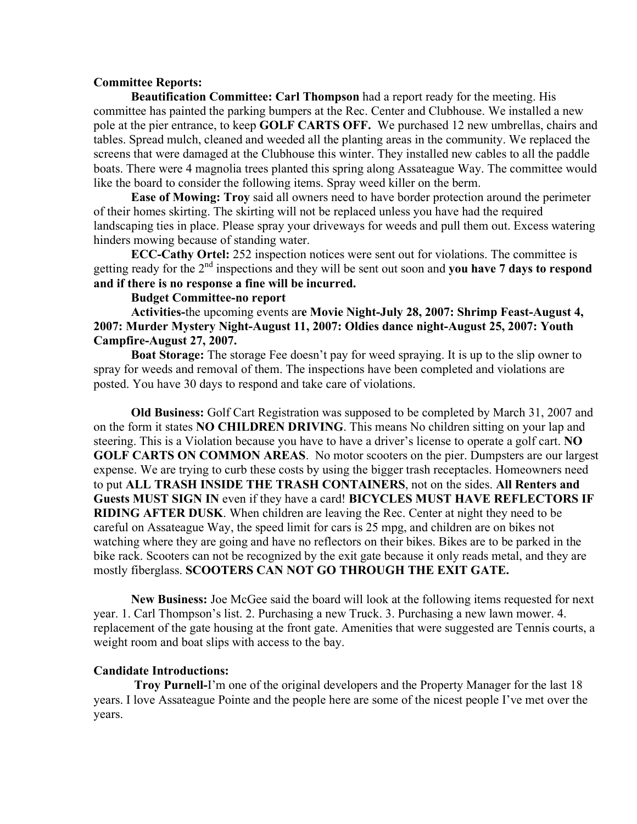## **Committee Reports:**

**Beautification Committee: Carl Thompson** had a report ready for the meeting. His committee has painted the parking bumpers at the Rec. Center and Clubhouse. We installed a new pole at the pier entrance, to keep **GOLF CARTS OFF.** We purchased 12 new umbrellas, chairs and tables. Spread mulch, cleaned and weeded all the planting areas in the community. We replaced the screens that were damaged at the Clubhouse this winter. They installed new cables to all the paddle boats. There were 4 magnolia trees planted this spring along Assateague Way. The committee would like the board to consider the following items. Spray weed killer on the berm.

**Ease of Mowing: Troy** said all owners need to have border protection around the perimeter of their homes skirting. The skirting will not be replaced unless you have had the required landscaping ties in place. Please spray your driveways for weeds and pull them out. Excess watering hinders mowing because of standing water.

**ECC-Cathy Ortel:** 252 inspection notices were sent out for violations. The committee is getting ready for the 2nd inspections and they will be sent out soon and **you have 7 days to respond and if there is no response a fine will be incurred.**

# **Budget Committee-no report**

**Activities-**the upcoming events ar**e Movie Night-July 28, 2007: Shrimp Feast-August 4, 2007: Murder Mystery Night-August 11, 2007: Oldies dance night-August 25, 2007: Youth Campfire-August 27, 2007.**

**Boat Storage:** The storage Fee doesn't pay for weed spraying. It is up to the slip owner to spray for weeds and removal of them. The inspections have been completed and violations are posted. You have 30 days to respond and take care of violations.

**Old Business:** Golf Cart Registration was supposed to be completed by March 31, 2007 and on the form it states **NO CHILDREN DRIVING**. This means No children sitting on your lap and steering. This is a Violation because you have to have a driver's license to operate a golf cart. **NO GOLF CARTS ON COMMON AREAS**. No motor scooters on the pier. Dumpsters are our largest expense. We are trying to curb these costs by using the bigger trash receptacles. Homeowners need to put **ALL TRASH INSIDE THE TRASH CONTAINERS**, not on the sides. **All Renters and Guests MUST SIGN IN** even if they have a card! **BICYCLES MUST HAVE REFLECTORS IF RIDING AFTER DUSK.** When children are leaving the Rec. Center at night they need to be careful on Assateague Way, the speed limit for cars is 25 mpg, and children are on bikes not watching where they are going and have no reflectors on their bikes. Bikes are to be parked in the bike rack. Scooters can not be recognized by the exit gate because it only reads metal, and they are mostly fiberglass. **SCOOTERS CAN NOT GO THROUGH THE EXIT GATE.**

**New Business:** Joe McGee said the board will look at the following items requested for next year. 1. Carl Thompson's list. 2. Purchasing a new Truck. 3. Purchasing a new lawn mower. 4. replacement of the gate housing at the front gate. Amenities that were suggested are Tennis courts, a weight room and boat slips with access to the bay.

## **Candidate Introductions:**

 **Troy Purnell-**I'm one of the original developers and the Property Manager for the last 18 years. I love Assateague Pointe and the people here are some of the nicest people I've met over the years.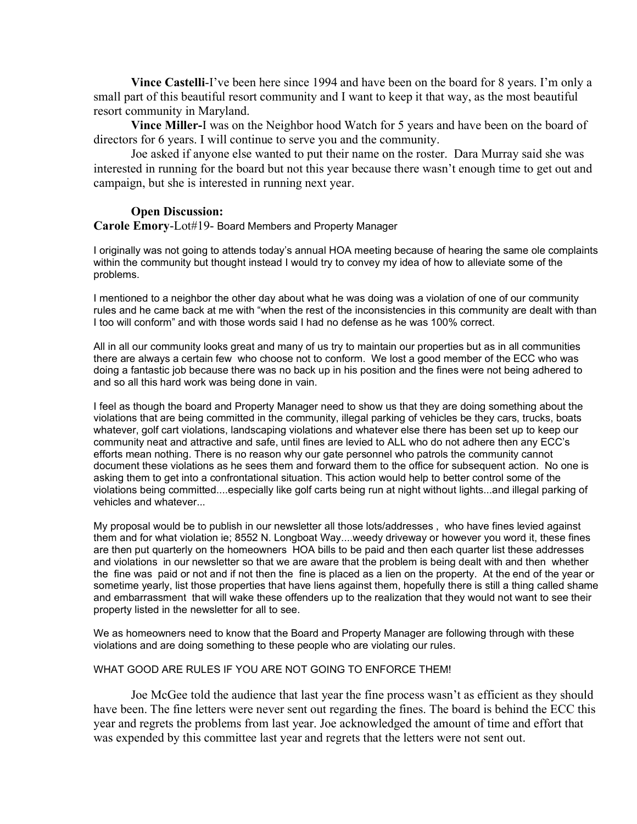**Vince Castelli**-I've been here since 1994 and have been on the board for 8 years. I'm only a small part of this beautiful resort community and I want to keep it that way, as the most beautiful resort community in Maryland.

**Vince Miller-**I was on the Neighbor hood Watch for 5 years and have been on the board of directors for 6 years. I will continue to serve you and the community.

Joe asked if anyone else wanted to put their name on the roster. Dara Murray said she was interested in running for the board but not this year because there wasn't enough time to get out and campaign, but she is interested in running next year.

#### **Open Discussion:**

**Carole Emory**-Lot#19- Board Members and Property Manager

I originally was not going to attends today's annual HOA meeting because of hearing the same ole complaints within the community but thought instead I would try to convey my idea of how to alleviate some of the problems.

I mentioned to a neighbor the other day about what he was doing was a violation of one of our community rules and he came back at me with "when the rest of the inconsistencies in this community are dealt with than I too will conform" and with those words said I had no defense as he was 100% correct.

All in all our community looks great and many of us try to maintain our properties but as in all communities there are always a certain few who choose not to conform. We lost a good member of the ECC who was doing a fantastic job because there was no back up in his position and the fines were not being adhered to and so all this hard work was being done in vain.

I feel as though the board and Property Manager need to show us that they are doing something about the violations that are being committed in the community, illegal parking of vehicles be they cars, trucks, boats whatever, golf cart violations, landscaping violations and whatever else there has been set up to keep our community neat and attractive and safe, until fines are levied to ALL who do not adhere then any ECC's efforts mean nothing. There is no reason why our gate personnel who patrols the community cannot document these violations as he sees them and forward them to the office for subsequent action. No one is asking them to get into a confrontational situation. This action would help to better control some of the violations being committed....especially like golf carts being run at night without lights...and illegal parking of vehicles and whatever...

My proposal would be to publish in our newsletter all those lots/addresses , who have fines levied against them and for what violation ie; 8552 N. Longboat Way....weedy driveway or however you word it, these fines are then put quarterly on the homeowners HOA bills to be paid and then each quarter list these addresses and violations in our newsletter so that we are aware that the problem is being dealt with and then whether the fine was paid or not and if not then the fine is placed as a lien on the property. At the end of the year or sometime yearly, list those properties that have liens against them, hopefully there is still a thing called shame and embarrassment that will wake these offenders up to the realization that they would not want to see their property listed in the newsletter for all to see.

We as homeowners need to know that the Board and Property Manager are following through with these violations and are doing something to these people who are violating our rules.

#### WHAT GOOD ARE RULES IF YOU ARE NOT GOING TO ENFORCE THEM!

Joe McGee told the audience that last year the fine process wasn't as efficient as they should have been. The fine letters were never sent out regarding the fines. The board is behind the ECC this year and regrets the problems from last year. Joe acknowledged the amount of time and effort that was expended by this committee last year and regrets that the letters were not sent out.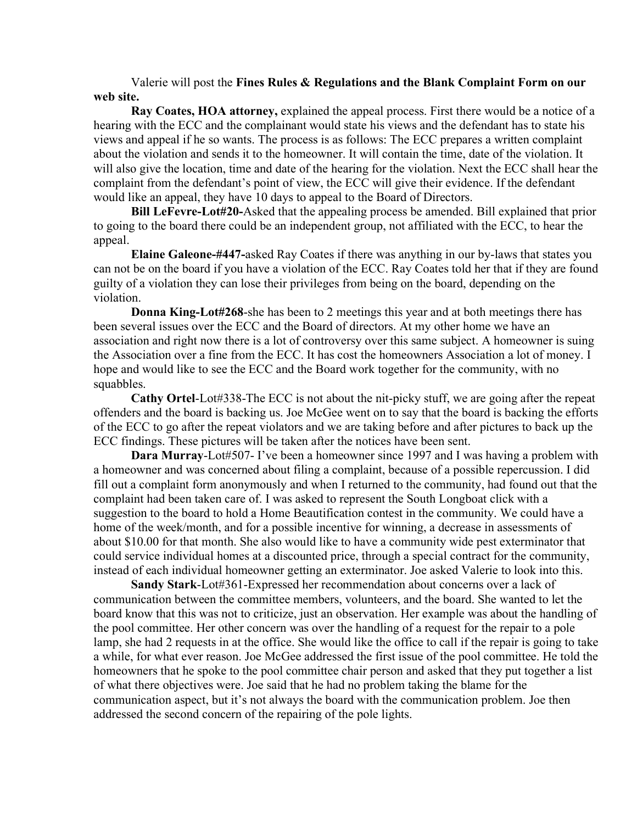Valerie will post the **Fines Rules & Regulations and the Blank Complaint Form on our web site.**

**Ray Coates, HOA attorney,** explained the appeal process. First there would be a notice of a hearing with the ECC and the complainant would state his views and the defendant has to state his views and appeal if he so wants. The process is as follows: The ECC prepares a written complaint about the violation and sends it to the homeowner. It will contain the time, date of the violation. It will also give the location, time and date of the hearing for the violation. Next the ECC shall hear the complaint from the defendant's point of view, the ECC will give their evidence. If the defendant would like an appeal, they have 10 days to appeal to the Board of Directors.

**Bill LeFevre-Lot#20-**Asked that the appealing process be amended. Bill explained that prior to going to the board there could be an independent group, not affiliated with the ECC, to hear the appeal.

**Elaine Galeone-#447-**asked Ray Coates if there was anything in our by-laws that states you can not be on the board if you have a violation of the ECC. Ray Coates told her that if they are found guilty of a violation they can lose their privileges from being on the board, depending on the violation.

**Donna King-Lot#268**-she has been to 2 meetings this year and at both meetings there has been several issues over the ECC and the Board of directors. At my other home we have an association and right now there is a lot of controversy over this same subject. A homeowner is suing the Association over a fine from the ECC. It has cost the homeowners Association a lot of money. I hope and would like to see the ECC and the Board work together for the community, with no squabbles.

**Cathy Ortel**-Lot#338-The ECC is not about the nit-picky stuff, we are going after the repeat offenders and the board is backing us. Joe McGee went on to say that the board is backing the efforts of the ECC to go after the repeat violators and we are taking before and after pictures to back up the ECC findings. These pictures will be taken after the notices have been sent.

**Dara Murray-Lot#507- I've been a homeowner since 1997 and I was having a problem with** a homeowner and was concerned about filing a complaint, because of a possible repercussion. I did fill out a complaint form anonymously and when I returned to the community, had found out that the complaint had been taken care of. I was asked to represent the South Longboat click with a suggestion to the board to hold a Home Beautification contest in the community. We could have a home of the week/month, and for a possible incentive for winning, a decrease in assessments of about \$10.00 for that month. She also would like to have a community wide pest exterminator that could service individual homes at a discounted price, through a special contract for the community, instead of each individual homeowner getting an exterminator. Joe asked Valerie to look into this.

**Sandy Stark**-Lot#361-Expressed her recommendation about concerns over a lack of communication between the committee members, volunteers, and the board. She wanted to let the board know that this was not to criticize, just an observation. Her example was about the handling of the pool committee. Her other concern was over the handling of a request for the repair to a pole lamp, she had 2 requests in at the office. She would like the office to call if the repair is going to take a while, for what ever reason. Joe McGee addressed the first issue of the pool committee. He told the homeowners that he spoke to the pool committee chair person and asked that they put together a list of what there objectives were. Joe said that he had no problem taking the blame for the communication aspect, but it's not always the board with the communication problem. Joe then addressed the second concern of the repairing of the pole lights.